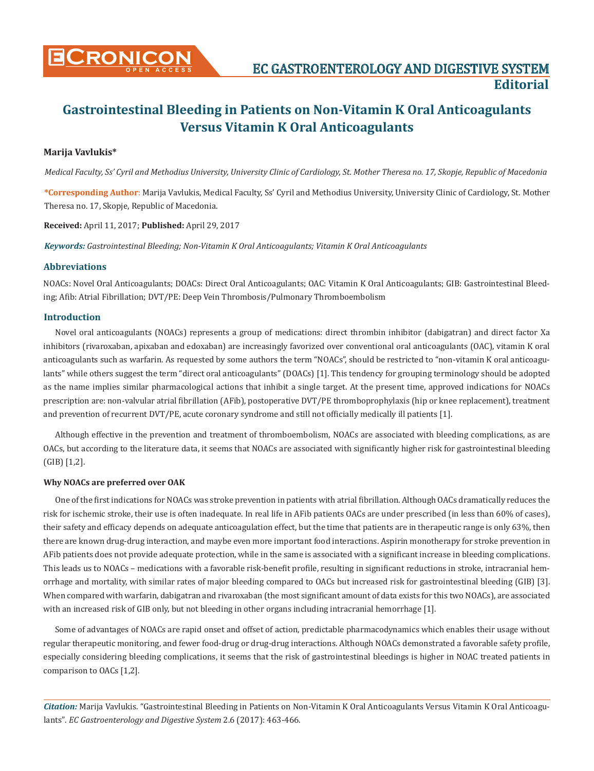

# **Gastrointestinal Bleeding in Patients on Non-Vitamin K Oral Anticoagulants Versus Vitamin K Oral Anticoagulants**

## **Marija Vavlukis\***

*Medical Faculty, Ss' Cyril and Methodius University, University Clinic of Cardiology, St. Mother Theresa no. 17, Skopje, Republic of Macedonia*

**\*Corresponding Author**: Marija Vavlukis, Medical Faculty, Ss' Cyril and Methodius University, University Clinic of Cardiology, St. Mother Theresa no. 17, Skopje, Republic of Macedonia.

**Received:** April 11, 2017; **Published:** April 29, 2017

*Keywords: Gastrointestinal Bleeding; Non-Vitamin K Oral Anticoagulants; Vitamin K Oral Anticoagulants*

## **Abbreviations**

NOACs: Novel Oral Anticoagulants; DOACs: Direct Oral Anticoagulants; OAC: Vitamin K Oral Anticoagulants; GIB: Gastrointestinal Bleeding; Afib: Atrial Fibrillation; DVT/PE: Deep Vein Thrombosis/Pulmonary Thromboembolism

## **Introduction**

Novel oral anticoagulants (NOACs) represents a group of medications: direct thrombin inhibitor (dabigatran) and direct factor Xa inhibitors (rivaroxaban, apixaban and edoxaban) are increasingly favorized over conventional oral anticoagulants (OAC), vitamin K oral anticoagulants such as warfarin. As requested by some authors the term "NOACs", should be restricted to "non-vitamin K oral anticoagulants" while others suggest the term "direct oral anticoagulants" (DOACs) [1]. This tendency for grouping terminology should be adopted as the name implies similar pharmacological actions that inhibit a single target. At the present time, approved indications for NOACs prescription are: non-valvular atrial fibrillation (AFib), postoperative DVT/PE thromboprophylaxis (hip or knee replacement), treatment and prevention of recurrent DVT/PE, acute coronary syndrome and still not officially medically ill patients [1].

Although effective in the prevention and treatment of thromboembolism, NOACs are associated with bleeding complications, as are OACs, but according to the literature data, it seems that NOACs are associated with significantly higher risk for gastrointestinal bleeding (GIB) [1,2].

## **Why NOACs are preferred over OAK**

One of the first indications for NOACs was stroke prevention in patients with atrial fibrillation. Although OACs dramatically reduces the risk for ischemic stroke, their use is often inadequate. In real life in AFib patients OACs are under prescribed (in less than 60% of cases), their safety and efficacy depends on adequate anticoagulation effect, but the time that patients are in therapeutic range is only 63%, then there are known drug-drug interaction, and maybe even more important food interactions. Aspirin monotherapy for stroke prevention in AFib patients does not provide adequate protection, while in the same is associated with a significant increase in bleeding complications. This leads us to NOACs – medications with a favorable risk-benefit profile, resulting in significant reductions in stroke, intracranial hemorrhage and mortality, with similar rates of major bleeding compared to OACs but increased risk for gastrointestinal bleeding (GIB) [3]. When compared with warfarin, dabigatran and rivaroxaban (the most significant amount of data exists for this two NOACs), are associated with an increased risk of GIB only, but not bleeding in other organs including intracranial hemorrhage [1].

Some of advantages of NOACs are rapid onset and offset of action, predictable pharmacodynamics which enables their usage without regular therapeutic monitoring, and fewer food-drug or drug-drug interactions. Although NOACs demonstrated a favorable safety profile, especially considering bleeding complications, it seems that the risk of gastrointestinal bleedings is higher in NOAC treated patients in comparison to OACs [1,2].

*Citation:* Marija Vavlukis. "Gastrointestinal Bleeding in Patients on Non-Vitamin K Oral Anticoagulants Versus Vitamin K Oral Anticoagulants". *EC Gastroenterology and Digestive System* 2.6 (2017): 463-466.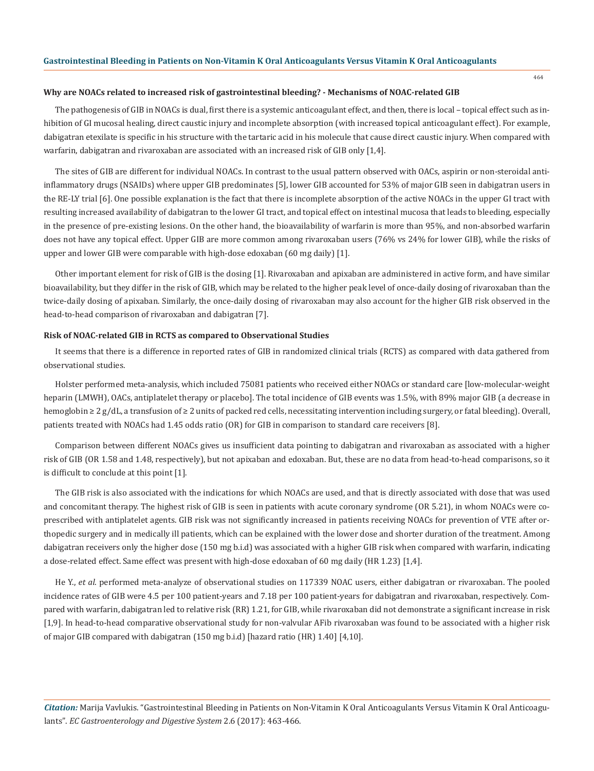#### 464

#### **Why are NOACs related to increased risk of gastrointestinal bleeding? - Mechanisms of NOAC-related GIB**

The pathogenesis of GIB in NOACs is dual, first there is a systemic anticoagulant effect, and then, there is local – topical effect such as inhibition of GI mucosal healing, direct caustic injury and incomplete absorption (with increased topical anticoagulant effect). For example, dabigatran etexilate is specific in his structure with the tartaric acid in his molecule that cause direct caustic injury. When compared with warfarin, dabigatran and rivaroxaban are associated with an increased risk of GIB only [1,4].

The sites of GIB are different for individual NOACs. In contrast to the usual pattern observed with OACs, aspirin or non-steroidal antiinflammatory drugs (NSAIDs) where upper GIB predominates [5], lower GIB accounted for 53% of major GIB seen in dabigatran users in the RE-LY trial [6]. One possible explanation is the fact that there is incomplete absorption of the active NOACs in the upper GI tract with resulting increased availability of dabigatran to the lower GI tract, and topical effect on intestinal mucosa that leads to bleeding, especially in the presence of pre-existing lesions. On the other hand, the bioavailability of warfarin is more than 95%, and non-absorbed warfarin does not have any topical effect. Upper GIB are more common among rivaroxaban users (76% vs 24% for lower GIB), while the risks of upper and lower GIB were comparable with high-dose edoxaban (60 mg daily) [1].

Other important element for risk of GIB is the dosing [1]. Rivaroxaban and apixaban are administered in active form, and have similar bioavailability, but they differ in the risk of GIB, which may be related to the higher peak level of once-daily dosing of rivaroxaban than the twice-daily dosing of apixaban. Similarly, the once-daily dosing of rivaroxaban may also account for the higher GIB risk observed in the head-to-head comparison of rivaroxaban and dabigatran [7].

#### **Risk of NOAC-related GIB in RCTS as compared to Observational Studies**

It seems that there is a difference in reported rates of GIB in randomized clinical trials (RCTS) as compared with data gathered from observational studies.

Holster performed meta-analysis, which included 75081 patients who received either NOACs or standard care [low-molecular-weight heparin (LMWH), OACs, antiplatelet therapy or placebo]. The total incidence of GIB events was 1.5%, with 89% major GIB (a decrease in hemoglobin ≥ 2 g/dL, a transfusion of ≥ 2 units of packed red cells, necessitating intervention including surgery, or fatal bleeding). Overall, patients treated with NOACs had 1.45 odds ratio (OR) for GIB in comparison to standard care receivers [8].

Comparison between different NOACs gives us insufficient data pointing to dabigatran and rivaroxaban as associated with a higher risk of GIB (OR 1.58 and 1.48, respectively), but not apixaban and edoxaban. But, these are no data from head-to-head comparisons, so it is difficult to conclude at this point [1].

The GIB risk is also associated with the indications for which NOACs are used, and that is directly associated with dose that was used and concomitant therapy. The highest risk of GIB is seen in patients with acute coronary syndrome (OR 5.21), in whom NOACs were coprescribed with antiplatelet agents. GIB risk was not significantly increased in patients receiving NOACs for prevention of VTE after orthopedic surgery and in medically ill patients, which can be explained with the lower dose and shorter duration of the treatment. Among dabigatran receivers only the higher dose (150 mg b.i.d) was associated with a higher GIB risk when compared with warfarin, indicating a dose-related effect. Same effect was present with high-dose edoxaban of 60 mg daily (HR 1.23) [1,4].

He Y., *et al*. performed meta-analyze of observational studies on 117339 NOAC users, either dabigatran or rivaroxaban. The pooled incidence rates of GIB were 4.5 per 100 patient-years and 7.18 per 100 patient-years for dabigatran and rivaroxaban, respectively. Compared with warfarin, dabigatran led to relative risk (RR) 1.21, for GIB, while rivaroxaban did not demonstrate a significant increase in risk [1,9]. In head-to-head comparative observational study for non-valvular AFib rivaroxaban was found to be associated with a higher risk of major GIB compared with dabigatran (150 mg b.i.d) [hazard ratio (HR) 1.40] [4,10].

*Citation:* Marija Vavlukis. "Gastrointestinal Bleeding in Patients on Non-Vitamin K Oral Anticoagulants Versus Vitamin K Oral Anticoagulants". *EC Gastroenterology and Digestive System* 2.6 (2017): 463-466.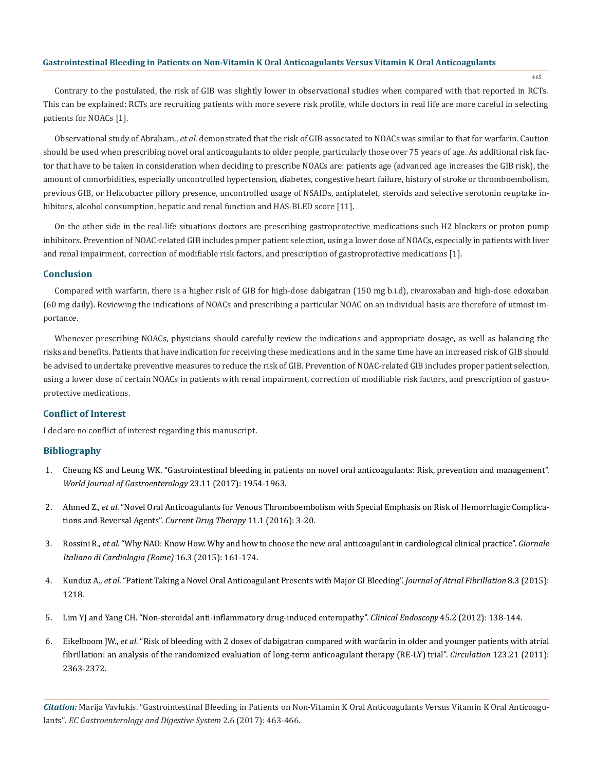## **Gastrointestinal Bleeding in Patients on Non-Vitamin K Oral Anticoagulants Versus Vitamin K Oral Anticoagulants**

465

Contrary to the postulated, the risk of GIB was slightly lower in observational studies when compared with that reported in RCTs. This can be explained: RCTs are recruiting patients with more severe risk profile, while doctors in real life are more careful in selecting patients for NOACs [1].

Observational study of Abraham., *et al*. demonstrated that the risk of GIB associated to NOACs was similar to that for warfarin. Caution should be used when prescribing novel oral anticoagulants to older people, particularly those over 75 years of age. As additional risk factor that have to be taken in consideration when deciding to prescribe NOACs are: patients age (advanced age increases the GIB risk), the amount of comorbidities, especially uncontrolled hypertension, diabetes, congestive heart failure, history of stroke or thromboembolism, previous GIB, or Helicobacter pillory presence, uncontrolled usage of NSAIDs, antiplatelet, steroids and selective serotonin reuptake inhibitors, alcohol consumption, hepatic and renal function and HAS-BLED score [11].

On the other side in the real-life situations doctors are prescribing gastroprotective medications such H2 blockers or proton pump inhibitors. Prevention of NOAC-related GIB includes proper patient selection, using a lower dose of NOACs, especially in patients with liver and renal impairment, correction of modifiable risk factors, and prescription of gastroprotective medications [1].

#### **Conclusion**

Compared with warfarin, there is a higher risk of GIB for high-dose dabigatran (150 mg b.i.d), rivaroxaban and high-dose edoxaban (60 mg daily). Reviewing the indications of NOACs and prescribing a particular NOAC on an individual basis are therefore of utmost importance.

Whenever prescribing NOACs, physicians should carefully review the indications and appropriate dosage, as well as balancing the risks and benefits. Patients that have indication for receiving these medications and in the same time have an increased risk of GIB should be advised to undertake preventive measures to reduce the risk of GIB. Prevention of NOAC-related GIB includes proper patient selection, using a lower dose of certain NOACs in patients with renal impairment, correction of modifiable risk factors, and prescription of gastroprotective medications.

## **Conflict of Interest**

I declare no conflict of interest regarding this manuscript.

## **Bibliography**

- 1. Cheung KS and Leung WK. "Gastrointestinal bleeding in patients on novel oral anticoagulants: Risk, prevention and management". *World Journal of Gastroenterology* 23.11 (2017): 1954-1963.
- 2. Ahmed Z., *et al*. "Novel Oral Anticoagulants for Venous Thromboembolism with Special Emphasis on Risk of Hemorrhagic Complications and Reversal Agents". *Current Drug Therapy* 11.1 (2016): 3-20.
- 3. Rossini R., *et al*. "Why NAO: Know How. Why and how to choose the new oral anticoagulant in cardiological clinical practice". *Giornale Italiano di Cardiologia (Rome)* 16.3 (2015): 161-174.
- 4. Kunduz A., *et al*. "Patient Taking a Novel Oral Anticoagulant Presents with Major GI Bleeding". *Journal of Atrial Fibrillation* 8.3 (2015): 1218.
- 5. Lim YJ and Yang CH. "Non-steroidal anti-inflammatory drug-induced enteropathy". *Clinical Endoscopy* 45.2 (2012): 138-144.
- 6. Eikelboom JW., *et al*. "Risk of bleeding with 2 doses of dabigatran compared with warfarin in older and younger patients with atrial fibrillation: an analysis of the randomized evaluation of long-term anticoagulant therapy (RE-LY) trial". *Circulation* 123.21 (2011): 2363-2372.

*Citation:* Marija Vavlukis. "Gastrointestinal Bleeding in Patients on Non-Vitamin K Oral Anticoagulants Versus Vitamin K Oral Anticoagulants". *EC Gastroenterology and Digestive System* 2.6 (2017): 463-466.